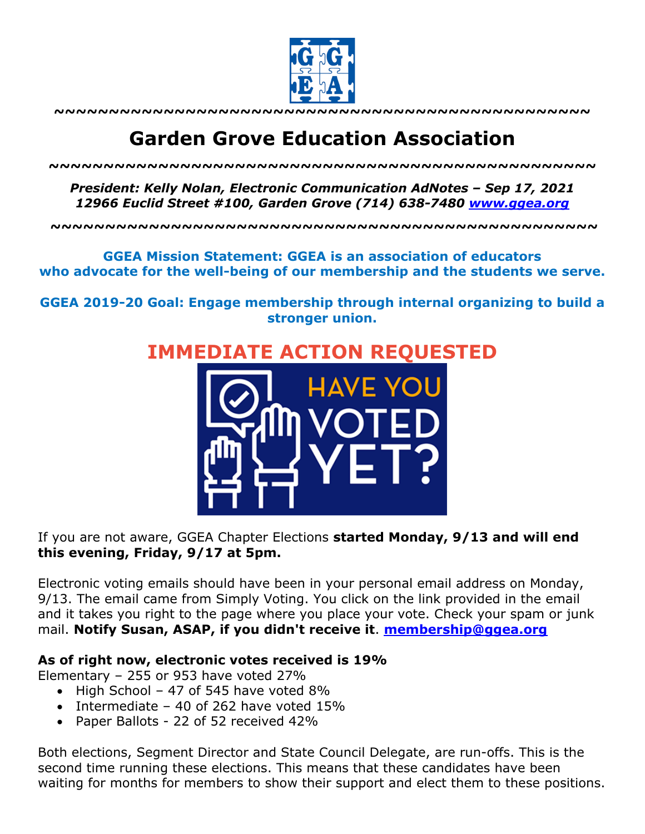

**~~~~~~~~~~~~~~~~~~~~~~~~~~~~~~~~~~~~~~~~~~~~~~~~~**

# **Garden Grove Education Association**

*~~~~~~~~~~~~~~~~~~~~~~~~~~~~~~~~~~~~~~~~~~~~~~~~~~*

*President: Kelly Nolan, Electronic Communication AdNotes – Sep 17, 2021 12966 Euclid Street #100, Garden Grove (714) 638-7480 www.ggea.org*

**~~~~~~~~~~~~~~~~~~~~~~~~~~~~~~~~~~~~~~~~~~~~~~~~~~**

#### **GGEA Mission Statement: GGEA is an association of educators who advocate for the well-being of our membership and the students we serve.**

**GGEA 2019-20 Goal: Engage membership through internal organizing to build a stronger union.**





### If you are not aware, GGEA Chapter Elections **started Monday, 9/13 and will end this evening, Friday, 9/17 at 5pm.**

Electronic voting emails should have been in your personal email address on Monday, 9/13. The email came from Simply Voting. You click on the link provided in the email and it takes you right to the page where you place your vote. Check your spam or junk mail. **Notify Susan, ASAP, if you didn't receive it**. **membership@ggea.org**

#### **As of right now, electronic votes received is 19%**

Elementary – 255 or 953 have voted 27%

- High School 47 of 545 have voted 8%
- Intermediate 40 of 262 have voted 15%
- Paper Ballots 22 of 52 received 42%

Both elections, Segment Director and State Council Delegate, are run-offs. This is the second time running these elections. This means that these candidates have been waiting for months for members to show their support and elect them to these positions.